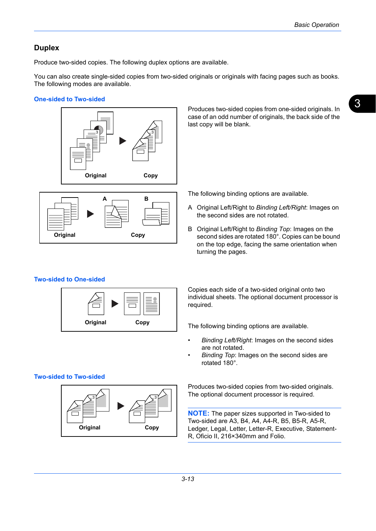## **Duplex**

Produce two-sided copies. The following duplex options are available.

You can also create single-sided copies from two-sided originals or originals with facing pages such as books. The following modes are available.

#### **One-sided to Two-sided**





Produces two-sided copies from one-sided originals. In case of an odd number of originals, the back side of the last copy will be blank.

The following binding options are available.

- A Original Left/Right to *Binding Left/Right*: Images on the second sides are not rotated.
- B Original Left/Right to *Binding Top*: Images on the second sides are rotated 180°. Copies can be bound on the top edge, facing the same orientation when turning the pages.

## **Two-sided to One-sided**



Copies each side of a two-sided original onto two individual sheets. The optional document processor is required.

The following binding options are available.

- *Binding Left/Right*: Images on the second sides are not rotated.
- *Binding Top*: Images on the second sides are rotated 180°.

**Two-sided to Two-sided**



Produces two-sided copies from two-sided originals. The optional document processor is required.

**NOTE:** The paper sizes supported in Two-sided to Two-sided are A3, B4, A4, A4-R, B5, B5-R, A5-R, Ledger, Legal, Letter, Letter-R, Executive, Statement-R, Oficio II, 216×340mm and Folio.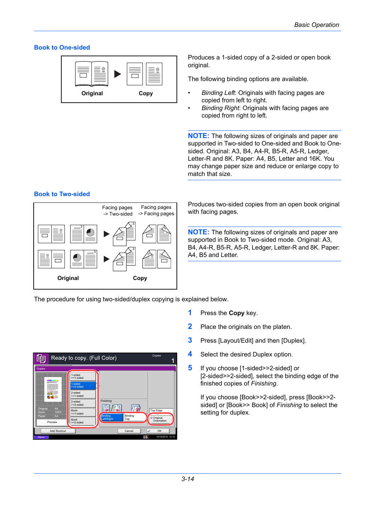#### **Book to One-sided**



Produces a 1-sided copy of a 2-sided or open book original.

The following binding options are available.

- *Binding Left*: Originals with facing pages are copied from left to right.
- *Binding Right*: Originals with facing pages are copied from right to left.

**NOTE:** The following sizes of originals and paper are supported in Two-sided to One-sided and Book to Onesided. Original: A3, B4, A4-R, B5-R, A5-R, Ledger, Letter-R and 8K. Paper: A4, B5, Letter and 16K. You may change paper size and reduce or enlarge copy to match that size.

#### **Book to Two-sided**



Produces two-sided copies from an open book original with facing pages.

**NOTE:** The following sizes of originals and paper are supported in Book to Two-sided mode. Original: A3, B4, A4-R, B5-R, A5-R, Ledger, Letter-R and 8K. Paper: A4, B5 and Letter.

The procedure for using two-sided/duplex copying is explained below.



- **1** Press the **Copy** key.
- **2** Place the originals on the platen.
- **3** Press [Layout/Edit] and then [Duplex].
- **4** Select the desired Duplex option.
- **5** If you choose [1-sided>>2-sided] or [2-sided>>2-sided], select the binding edge of the finished copies of *Finishing*.

If you choose [Book>>2-sided], press [Book>>2 sided] or [Book>> Book] of *Finishing* to select the setting for duplex.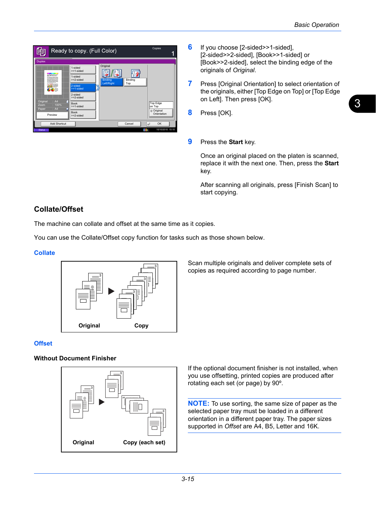

- **6** If you choose [2-sided>>1-sided], [2-sided>>2-sided], [Book>>1-sided] or [Book>>2-sided], select the binding edge of the originals of *Original*.
- **7** Press [Original Orientation] to select orientation of the originals, either [Top Edge on Top] or [Top Edge on Left]. Then press [OK].
- **8** Press [OK].
- **9** Press the **Start** key.

Once an original placed on the platen is scanned, replace it with the next one. Then, press the **Start** key.

After scanning all originals, press [Finish Scan] to start copying.

# **Collate/Offset**

The machine can collate and offset at the same time as it copies.

You can use the Collate/Offset copy function for tasks such as those shown below.

## **Collate**



**Offset**

### **Without Document Finisher**



Scan multiple originals and deliver complete sets of copies as required according to page number.

If the optional document finisher is not installed, when you use offsetting, printed copies are produced after rotating each set (or page) by 90º.

**NOTE:** To use sorting, the same size of paper as the selected paper tray must be loaded in a different orientation in a different paper tray. The paper sizes supported in *Offset* are A4, B5, Letter and 16K.